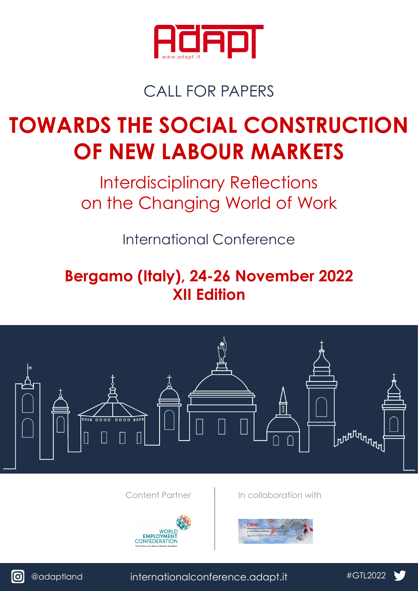

## CALL FOR PAPERS

# **TOWARDS THE SOCIAL CONSTRUCTION OF NEW LABOUR MARKETS**

Interdisciplinary Reflections on the Changing World of Work

International Conference

## **Bergamo (Italy), 24-26 November 2022 XII Edition**





[@adaptland](https://www.instagram.com/accounts/login/?next=/adaptland/) [internationalconference.adapt.it](http://internationalconference.adapt.it/) [#GTL20](https://twitter.com/ADAPT_bulletin)22

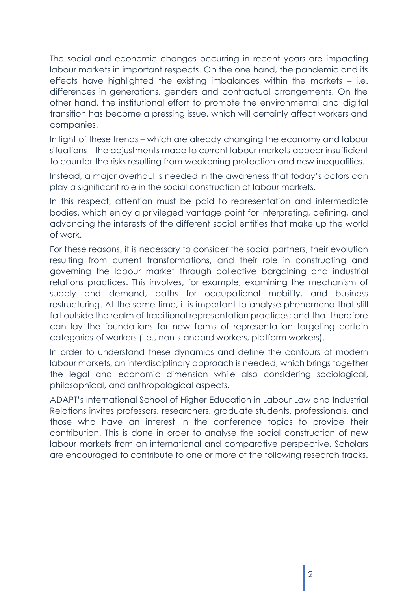The social and economic changes occurring in recent years are impacting labour markets in important respects. On the one hand, the pandemic and its effects have highlighted the existing imbalances within the markets – i.e. differences in generations, genders and contractual arrangements. On the other hand, the institutional effort to promote the environmental and digital transition has become a pressing issue, which will certainly affect workers and companies.

In light of these trends – which are already changing the economy and labour situations – the adjustments made to current labour markets appear insufficient to counter the risks resulting from weakening protection and new inequalities.

Instead, a major overhaul is needed in the awareness that today's actors can play a significant role in the social construction of labour markets.

In this respect, attention must be paid to representation and intermediate bodies, which enjoy a privileged vantage point for interpreting, defining, and advancing the interests of the different social entities that make up the world of work.

For these reasons, it is necessary to consider the social partners, their evolution resulting from current transformations, and their role in constructing and governing the labour market through collective bargaining and industrial relations practices. This involves, for example, examining the mechanism of supply and demand, paths for occupational mobility, and business restructuring. At the same time, it is important to analyse phenomena that still fall outside the realm of traditional representation practices; and that therefore can lay the foundations for new forms of representation targeting certain categories of workers (i.e., non-standard workers, platform workers).

In order to understand these dynamics and define the contours of modern labour markets, an interdisciplinary approach is needed, which brings together the legal and economic dimension while also considering sociological, philosophical, and anthropological aspects.

ADAPT's International School of Higher Education in Labour Law and Industrial Relations invites professors, researchers, graduate students, professionals, and those who have an interest in the conference topics to provide their contribution. This is done in order to analyse the social construction of new labour markets from an international and comparative perspective. Scholars are encouraged to contribute to one or more of the following research tracks.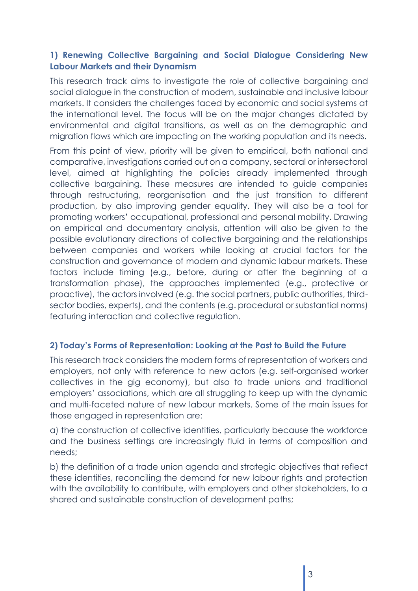#### **1) Renewing Collective Bargaining and Social Dialogue Considering New Labour Markets and their Dynamism**

This research track aims to investigate the role of collective bargaining and social dialogue in the construction of modern, sustainable and inclusive labour markets. It considers the challenges faced by economic and social systems at the international level. The focus will be on the major changes dictated by environmental and digital transitions, as well as on the demographic and migration flows which are impacting on the working population and its needs.

From this point of view, priority will be given to empirical, both national and comparative, investigations carried out on a company, sectoral or intersectoral level, aimed at highlighting the policies already implemented through collective bargaining. These measures are intended to guide companies through restructuring, reorganisation and the just transition to different production, by also improving gender equality. They will also be a tool for promoting workers' occupational, professional and personal mobility. Drawing on empirical and documentary analysis, attention will also be given to the possible evolutionary directions of collective bargaining and the relationships between companies and workers while looking at crucial factors for the construction and governance of modern and dynamic labour markets. These factors include timing (e.g., before, during or after the beginning of a transformation phase), the approaches implemented (e.g., protective or proactive), the actors involved (e.g. the social partners, public authorities, thirdsector bodies, experts), and the contents (e.g. procedural or substantial norms) featuring interaction and collective regulation.

#### **2) Today's Forms of Representation: Looking at the Past to Build the Future**

This research track considers the modern forms of representation of workers and employers, not only with reference to new actors (e.g. self-organised worker collectives in the gig economy), but also to trade unions and traditional employers' associations, which are all struggling to keep up with the dynamic and multi-faceted nature of new labour markets. Some of the main issues for those engaged in representation are:

a) the construction of collective identities, particularly because the workforce and the business settings are increasingly fluid in terms of composition and needs;

b) the definition of a trade union agenda and strategic objectives that reflect these identities, reconciling the demand for new labour rights and protection with the availability to contribute, with employers and other stakeholders, to a shared and sustainable construction of development paths;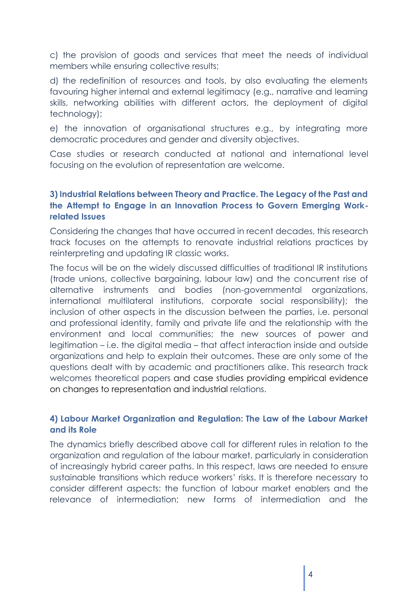c) the provision of goods and services that meet the needs of individual members while ensuring collective results;

d) the redefinition of resources and tools, by also evaluating the elements favouring higher internal and external legitimacy (e.g., narrative and learning skills, networking abilities with different actors, the deployment of digital technology);

e) the innovation of organisational structures e.g., by integrating more democratic procedures and gender and diversity objectives.

Case studies or research conducted at national and international level focusing on the evolution of representation are welcome.

#### **3) Industrial Relations between Theory and Practice. The Legacy of the Past and the Attempt to Engage in an Innovation Process to Govern Emerging Workrelated Issues**

Considering the changes that have occurred in recent decades, this research track focuses on the attempts to renovate industrial relations practices by reinterpreting and updating IR classic works.

The focus will be on the widely discussed difficulties of traditional IR institutions (trade unions, collective bargaining, labour law) and the concurrent rise of alternative instruments and bodies (non-governmental organizations, international multilateral institutions, corporate social responsibility); the inclusion of other aspects in the discussion between the parties, i.e. personal and professional identity, family and private life and the relationship with the environment and local communities; the new sources of power and legitimation – i.e. the digital media – that affect interaction inside and outside organizations and help to explain their outcomes. These are only some of the questions dealt with by academic and practitioners alike. This research track welcomes theoretical papers and case studies providing empirical evidence on changes to representation and industrial relations.

#### **4) Labour Market Organization and Regulation: The Law of the Labour Market and its Role**

The dynamics briefly described above call for different rules in relation to the organization and regulation of the labour market, particularly in consideration of increasingly hybrid career paths. In this respect, laws are needed to ensure sustainable transitions which reduce workers' risks. It is therefore necessary to consider different aspects: the function of labour market enablers and the relevance of intermediation; new forms of intermediation and the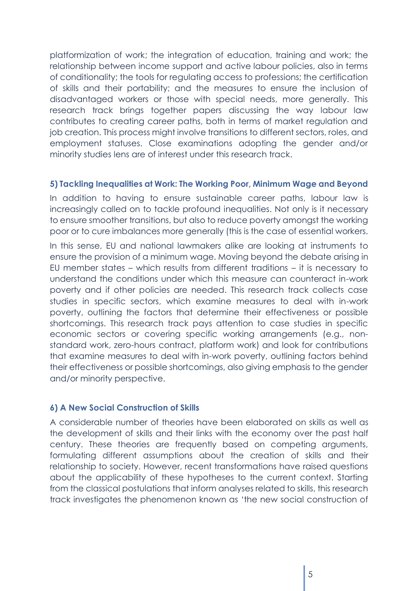platformization of work; the integration of education, training and work; the relationship between income support and active labour policies, also in terms of conditionality; the tools for regulating access to professions; the certification of skills and their portability; and the measures to ensure the inclusion of disadvantaged workers or those with special needs, more generally. This research track brings together papers discussing the way labour law contributes to creating career paths, both in terms of market regulation and job creation. This process might involve transitions to different sectors, roles, and employment statuses. Close examinations adopting the gender and/or minority studies lens are of interest under this research track.

#### **5) Tackling Inequalities at Work: The Working Poor, Minimum Wage and Beyond**

In addition to having to ensure sustainable career paths, labour law is increasingly called on to tackle profound inequalities. Not only is it necessary to ensure smoother transitions, but also to reduce poverty amongst the working poor or to cure imbalances more generally (this is the case of essential workers.

In this sense, EU and national lawmakers alike are looking at instruments to ensure the provision of a minimum wage. Moving beyond the debate arising in EU member states – which results from different traditions – it is necessary to understand the conditions under which this measure can counteract in-work poverty and if other policies are needed. This research track collects case studies in specific sectors, which examine measures to deal with in-work poverty, outlining the factors that determine their effectiveness or possible shortcomings. This research track pays attention to case studies in specific economic sectors or covering specific working arrangements (e.g., nonstandard work, zero-hours contract, platform work) and look for contributions that examine measures to deal with in-work poverty, outlining factors behind their effectiveness or possible shortcomings, also giving emphasis to the gender and/or minority perspective.

#### **6) A New Social Construction of Skills**

A considerable number of theories have been elaborated on skills as well as the development of skills and their links with the economy over the past half century. These theories are frequently based on competing arguments, formulating different assumptions about the creation of skills and their relationship to society. However, recent transformations have raised questions about the applicability of these hypotheses to the current context. Starting from the classical postulations that inform analyses related to skills, this research track investigates the phenomenon known as 'the new social construction of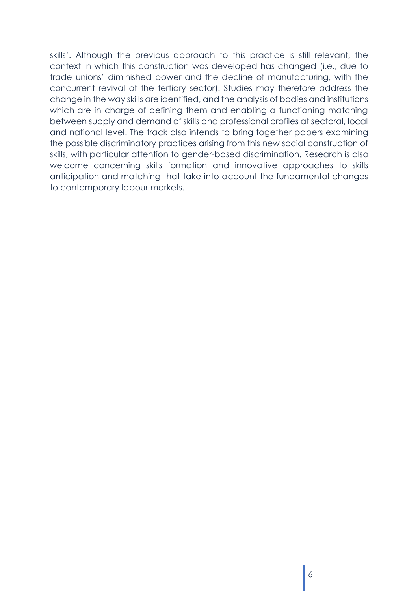skills'. Although the previous approach to this practice is still relevant, the context in which this construction was developed has changed (i.e., due to trade unions' diminished power and the decline of manufacturing, with the concurrent revival of the tertiary sector). Studies may therefore address the change in the way skills are identified, and the analysis of bodies and institutions which are in charge of defining them and enabling a functioning matching between supply and demand of skills and professional profiles at sectoral, local and national level. The track also intends to bring together papers examining the possible discriminatory practices arising from this new social construction of skills, with particular attention to gender-based discrimination. Research is also welcome concerning skills formation and innovative approaches to skills anticipation and matching that take into account the fundamental changes to contemporary labour markets.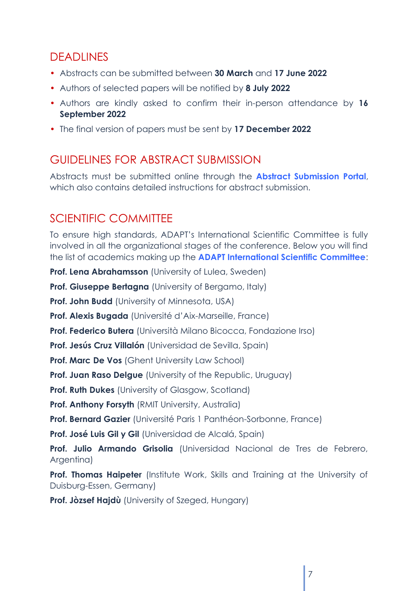## DEADLINES

- Abstracts can be submitted between **30 March** and **17 June 2022**
- Authors of selected papers will be notified by **8 July 2022**
- Authors are kindly asked to confirm their in-person attendance by **16 September 2022**
- The final version of papers must be sent by **17 December 2022**

## GUIDELINES FOR ABSTRACT SUBMISSION

Abstracts must be submitted online through the **[Abstract Submission](http://internationalconference.adapt.it/abstract-submission-portal-2022/) Portal**, which also contains detailed instructions for abstract submission.

## SCIENTIFIC COMMITTEE

To ensure high standards, ADAPT's International Scientific Committee is fully involved in all the organizational stages of the conference. Below you will find the list of academics making up the **[ADAPT International Scientific Committee](http://englishbulletin.adapt.it/members-of-adapt-international-scientific-committee/)**:

**Prof. Lena Abrahamsson** (University of Lulea, Sweden)

**Prof. Giuseppe Bertagna** (University of Bergamo, Italy)

**Prof. John Budd** (University of Minnesota, USA)

**Prof. Alexis Bugada** (Université d'Aix-Marseille, France)

**Prof. Federico Butera** (Università Milano Bicocca, Fondazione Irso)

**Prof. Jesús Cruz Villalón** (Universidad de Sevilla, Spain)

**Prof. Marc De Vos** (Ghent University Law School)

**Prof. Juan Raso Delgue** (University of the Republic, Uruguay)

**Prof. Ruth Dukes** (University of Glasgow, Scotland)

**Prof. Anthony Forsyth** (RMIT University, Australia)

**Prof. Bernard Gazier** (Université Paris 1 Panthéon-Sorbonne, France)

**Prof. José Luis Gil y Gil** (Universidad de Alcalá, Spain)

**Prof. Julio Armando Grisolia** (Universidad Nacional de Tres de Febrero, Argentina)

**Prof. Thomas Haipeter** (Institute Work, Skills and Training at the University of Duisburg-Essen, Germany)

**Prof. Jòzsef Hajdù** (University of Szeged, Hungary)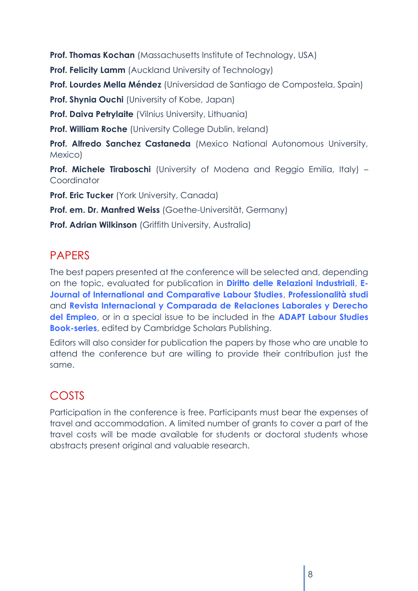**Prof. Thomas Kochan** (Massachusetts Institute of Technology, USA)

**Prof. Felicity Lamm** (Auckland University of Technology)

**Prof. Lourdes Mella Méndez** (Universidad de Santiago de Compostela, Spain)

**Prof. Shynia Ouchi** (University of Kobe, Japan)

**Prof. Daiva Petrylaite** (Vilnius University, Lithuania)

**Prof. William Roche** (University College Dublin, Ireland)

**Prof. Alfredo Sanchez Castaneda** (Mexico National Autonomous University, Mexico)

**Prof. Michele Tiraboschi** (University of Modena and Reggio Emilia, Italy) – **Coordinator** 

**Prof. Eric Tucker** (York University, Canada)

**Prof. em. Dr. Manfred Weiss** (Goethe-Universität, Germany)

**Prof. Adrian Wilkinson** (Griffith University, Australia)

## **PAPERS**

The best papers presented at the conference will be selected and, depending on the topic, evaluated for publication in **[Diritto delle Relazioni Industriali](https://moodle.adaptland.it/course/view.php?id=21)**, **[E-](http://ejcls.adapt.it/index.php/ejcls_adapt)[Journal of International and Comparative Labour Studies](http://ejcls.adapt.it/index.php/ejcls_adapt)**, **[Professionalità studi](https://moodle.adaptland.it/course/view.php?id=611)** and **[Revista Internacional y Comparada de Relaciones Laborales y Derecho](http://ejcls.adapt.it/index.php/rlde_adapt/index)  [del Empleo](http://ejcls.adapt.it/index.php/rlde_adapt/index)**, or in a special issue to be included in the **[ADAPT Labour Studies](https://www.cambridgescholars.com/pages/book-series?series_id=39)  [Book-series](https://www.cambridgescholars.com/pages/book-series?series_id=39)**, edited by Cambridge Scholars Publishing.

Editors will also consider for publication the papers by those who are unable to attend the conference but are willing to provide their contribution just the same.

## COSTS

Participation in the conference is free. Participants must bear the expenses of travel and accommodation. A limited number of grants to cover a part of the travel costs will be made available for students or doctoral students whose abstracts present original and valuable research.